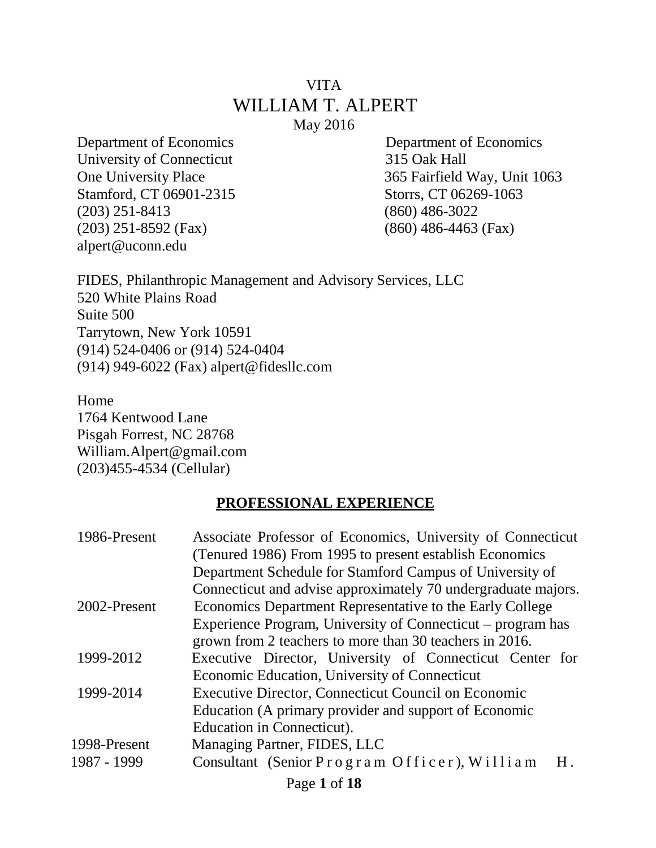#### VITA WILLIAM T. ALPERT May 2016

Department of Economics Department of Economics University of Connecticut 315 Oak Hall Stamford, CT 06901-2315 Storrs, CT 06269-1063 (203) 251-8413 (860) 486-3022 (203) 251-8592 (Fax) (860) 486-4463 (Fax) alpert@uconn.edu

One University Place 365 Fairfield Way, Unit 1063

FIDES, Philanthropic Management and Advisory Services, LLC 520 White Plains Road Suite 500 Tarrytown, New York 10591 (914) 524-0406 or (914) 524-0404 (914) 949-6022 (Fax) alpert@fidesllc.com

Home 1764 Kentwood Lane Pisgah Forrest, NC 28768 William.Alpert@gmail.com (203)455-4534 (Cellular)

#### **PROFESSIONAL EXPERIENCE**

| 1986-Present | Associate Professor of Economics, University of Connecticut    |
|--------------|----------------------------------------------------------------|
|              | (Tenured 1986) From 1995 to present establish Economics        |
|              | Department Schedule for Stamford Campus of University of       |
|              | Connecticut and advise approximately 70 undergraduate majors.  |
| 2002-Present | Economics Department Representative to the Early College       |
|              | Experience Program, University of Connecticut – program has    |
|              | grown from 2 teachers to more than 30 teachers in 2016.        |
| 1999-2012    | Executive Director, University of Connecticut Center for       |
|              | Economic Education, University of Connecticut                  |
| 1999-2014    | <b>Executive Director, Connecticut Council on Economic</b>     |
|              | Education (A primary provider and support of Economic          |
|              | Education in Connecticut).                                     |
| 1998-Present | Managing Partner, FIDES, LLC                                   |
| 1987 - 1999  | Consultant (Senior Program Officer), William<br>H <sub>1</sub> |
|              |                                                                |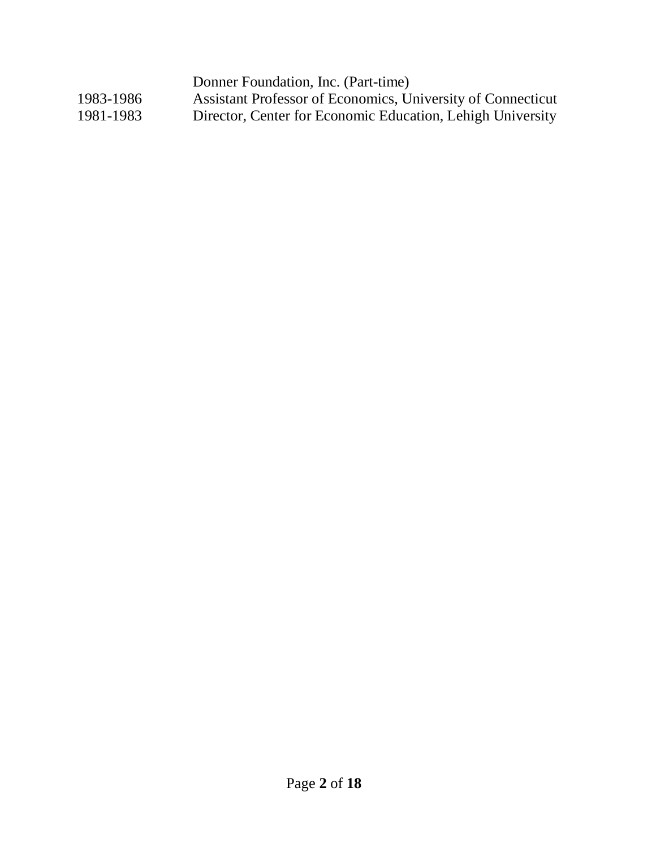Donner Foundation, Inc. (Part-time) 1983-1986 Assistant Professor of Economics, University of Connecticut<br>1981-1983 Director, Center for Economic Education, Lehigh University Director, Center for Economic Education, Lehigh University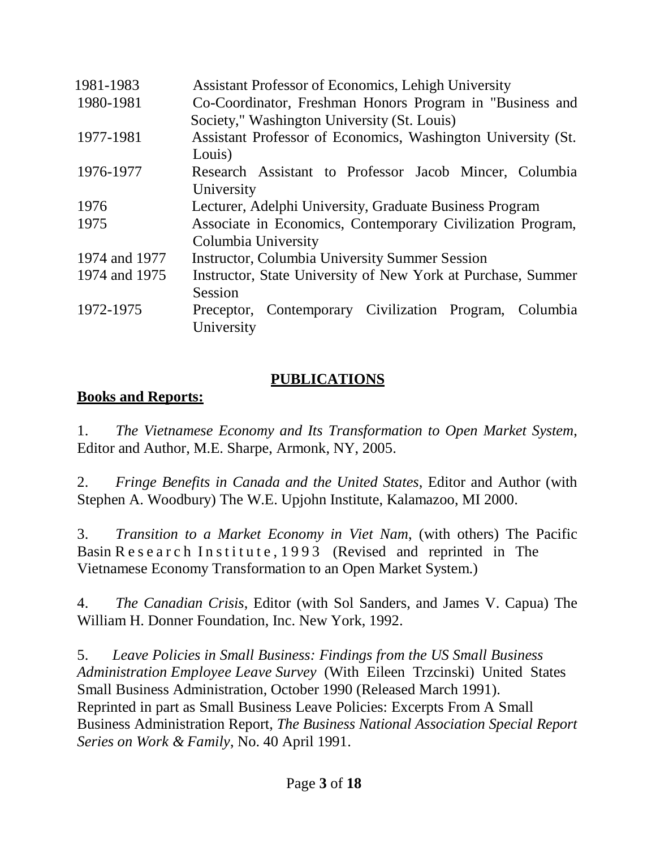| 1981-1983     | <b>Assistant Professor of Economics, Lehigh University</b>   |
|---------------|--------------------------------------------------------------|
| 1980-1981     | Co-Coordinator, Freshman Honors Program in "Business and     |
|               | Society," Washington University (St. Louis)                  |
| 1977-1981     | Assistant Professor of Economics, Washington University (St. |
|               | Louis)                                                       |
| 1976-1977     | Research Assistant to Professor Jacob Mincer, Columbia       |
|               | University                                                   |
| 1976          | Lecturer, Adelphi University, Graduate Business Program      |
| 1975          | Associate in Economics, Contemporary Civilization Program,   |
|               | Columbia University                                          |
| 1974 and 1977 | <b>Instructor, Columbia University Summer Session</b>        |
| 1974 and 1975 | Instructor, State University of New York at Purchase, Summer |
|               | Session                                                      |
| 1972-1975     | Preceptor, Contemporary Civilization Program,<br>Columbia    |
|               | University                                                   |

#### **PUBLICATIONS**

#### **Books and Reports:**

1. *The Vietnamese Economy and Its Transformation to Open Market System*, Editor and Author, M.E. Sharpe, Armonk, NY, 2005.

2. *Fringe Benefits in Canada and the United States*, Editor and Author (with Stephen A. Woodbury) The W.E. Upjohn Institute, Kalamazoo, MI 2000.

3. *Transition to a Market Economy in Viet Nam*, (with others) The Pacific Basin R e s e a r c h I n s t i t u t e , 1993 (Revised and reprinted in The Vietnamese Economy Transformation to an Open Market System.)

4. *The Canadian Crisis*, Editor (with Sol Sanders, and James V. Capua) The William H. Donner Foundation, Inc. New York, 1992.

5. *Leave Policies in Small Business: Findings from the US Small Business Administration Employee Leave Survey* (With Eileen Trzcinski) United States Small Business Administration, October 1990 (Released March 1991). Reprinted in part as Small Business Leave Policies: Excerpts From A Small Business Administration Report, *The Business National Association Special Report Series on Work & Family*, No. 40 April 1991.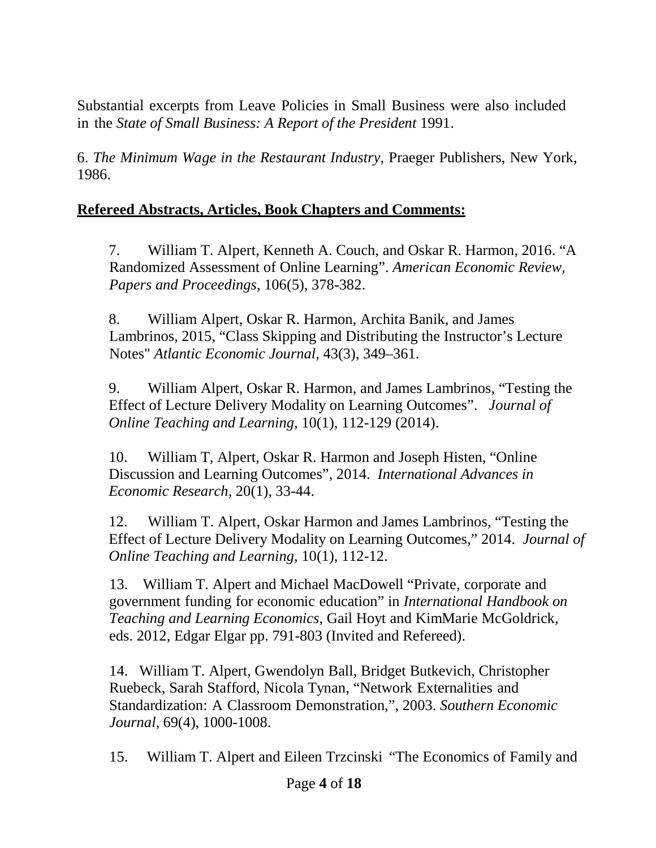Substantial excerpts from Leave Policies in Small Business were also included in the *State of Small Business: A Report of the President* 1991.

6. *The Minimum Wage in the Restaurant Industry*, Praeger Publishers, New York, 1986.

#### **Refereed Abstracts, Articles, Book Chapters and Comments:**

7. William T. Alpert, Kenneth A. Couch, and Oskar R. Harmon, 2016. "A Randomized Assessment of Online Learning". *American Economic Review, Papers and Proceedings*, 106(5), 378-382.

8. William Alpert, Oskar R. Harmon, Archita Banik, and James Lambrinos, 2015, "Class Skipping and Distributing the Instructor's Lecture Notes" *Atlantic Economic Journal*, 43(3), 349–361.

9. William Alpert, Oskar R. Harmon, and James Lambrinos, "Testing the Effect of Lecture Delivery Modality on Learning Outcomes". *Journal of Online Teaching and Learning*, 10(1), 112-129 (2014).

10. William T, Alpert, Oskar R. Harmon and Joseph Histen, "Online Discussion and Learning Outcomes", 2014. *International Advances in Economic Research*, 20(1), 33-44.

12. William T. Alpert, Oskar Harmon and James Lambrinos, "Testing the Effect of Lecture Delivery Modality on Learning Outcomes," 2014. *Journal of Online Teaching and Learning*, 10(1), 112-12.

13. William T. Alpert and Michael MacDowell "Private, corporate and government funding for economic education" in *International Handbook on Teaching and Learning Economics*, Gail Hoyt and KimMarie McGoldrick, eds. 2012, Edgar Elgar pp. 791-803 (Invited and Refereed).

14. William T. Alpert, Gwendolyn Ball, Bridget Butkevich, Christopher Ruebeck, Sarah Stafford, Nicola Tynan, "Network Externalities and Standardization: A Classroom Demonstration,", 2003. *Southern Economic Journal*, 69(4), 1000-1008.

15. William T. Alpert and Eileen Trzcinski "The Economics of Family and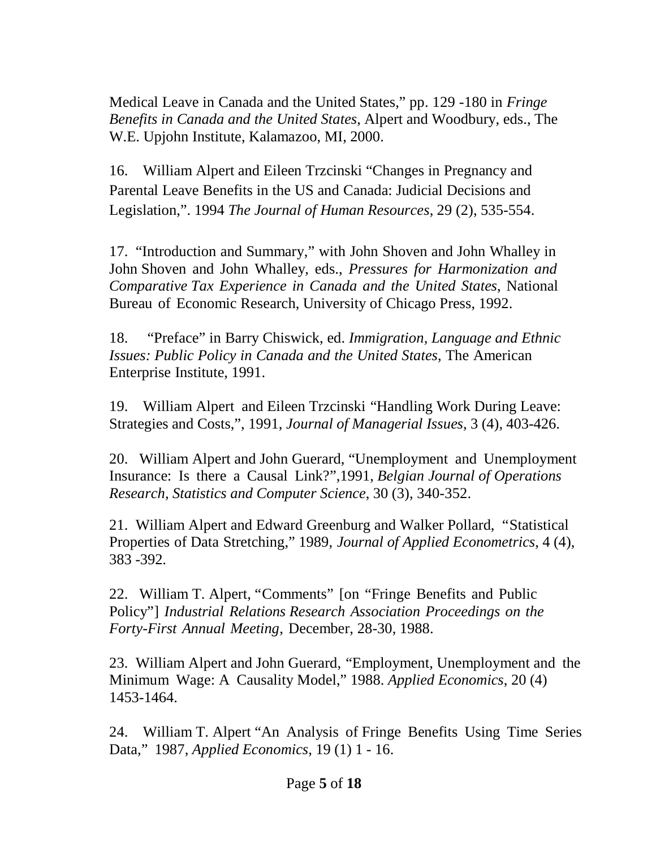Medical Leave in Canada and the United States," pp. 129 -180 in *Fringe Benefits in Canada and the United States*, Alpert and Woodbury, eds., The W.E. Upjohn Institute, Kalamazoo, MI, 2000.

16. William Alpert and Eileen Trzcinski "Changes in Pregnancy and Parental Leave Benefits in the US and Canada: Judicial Decisions and Legislation,". 1994 *The Journal of Human Resources*, 29 (2), 535-554.

17. "Introduction and Summary," with John Shoven and John Whalley in John Shoven and John Whalley, eds., *Pressures for Harmonization and Comparative Tax Experience in Canada and the United States*, National Bureau of Economic Research, University of Chicago Press, 1992.

18. "Preface" in Barry Chiswick, ed. *Immigration, Language and Ethnic Issues: Public Policy in Canada and the United States*, The American Enterprise Institute, 1991.

19. William Alpert and Eileen Trzcinski "Handling Work During Leave: Strategies and Costs,", 1991, *Journal of Managerial Issues*, 3 (4), 403-426.

20. William Alpert and John Guerard, "Unemployment and Unemployment Insurance: Is there a Causal Link?",1991, *Belgian Journal of Operations Research, Statistics and Computer Science*, 30 (3), 340-352.

21. William Alpert and Edward Greenburg and Walker Pollard, "Statistical Properties of Data Stretching," 1989, *Journal of Applied Econometrics*, 4 (4), 383 -392.

22. William T. Alpert, "Comments" [on "Fringe Benefits and Public Policy"] *Industrial Relations Research Association Proceedings on the Forty-First Annual Meeting*, December, 28-30, 1988.

23. William Alpert and John Guerard, "Employment, Unemployment and the Minimum Wage: A Causality Model," 1988. *Applied Economics*, 20 (4) 1453-1464.

24. William T. Alpert "An Analysis of Fringe Benefits Using Time Series Data," 1987, *Applied Economics*, 19 (1) 1 - 16.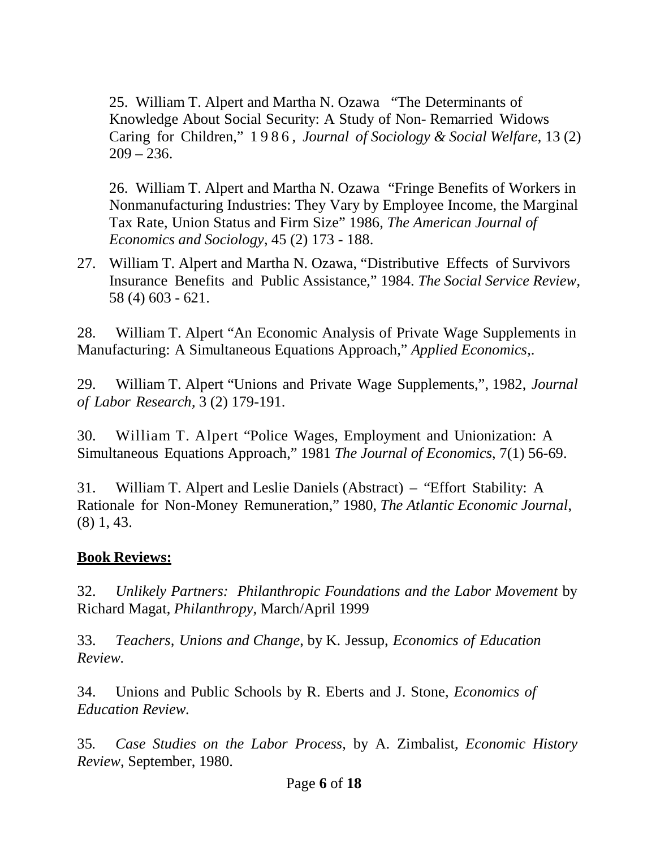25. William T. Alpert and Martha N. Ozawa "The Determinants of Knowledge About Social Security: A Study of Non- Remarried Widows Caring for Children," 1 9 8 6 , *Journal of Sociology & Social Welfare*, 13 (2)  $209 - 236.$ 

26. William T. Alpert and Martha N. Ozawa "Fringe Benefits of Workers in Nonmanufacturing Industries: They Vary by Employee Income, the Marginal Tax Rate, Union Status and Firm Size" 1986, *The American Journal of Economics and Sociology*, 45 (2) 173 - 188.

27. William T. Alpert and Martha N. Ozawa, "Distributive Effects of Survivors Insurance Benefits and Public Assistance," 1984. *The Social Service Review*, 58 (4) 603 - 621.

28. William T. Alpert "An Economic Analysis of Private Wage Supplements in Manufacturing: A Simultaneous Equations Approach," *Applied Economics*,.

29. William T. Alpert "Unions and Private Wage Supplements,", 1982, *Journal of Labor Research*, 3 (2) 179-191.

30. William T. Alpert "Police Wages, Employment and Unionization: A Simultaneous Equations Approach," 1981 *The Journal of Economics*, 7(1) 56-69.

31. William T. Alpert and Leslie Daniels (Abstract) – "Effort Stability: A Rationale for Non-Money Remuneration," 1980, *The Atlantic Economic Journal*, (8) 1, 43.

#### **Book Reviews:**

32. *Unlikely Partners: Philanthropic Foundations and the Labor Movement* by Richard Magat, *Philanthropy*, March/April 1999

33. *Teachers, Unions and Change*, by K. Jessup, *Economics of Education Review.*

34. Unions and Public Schools by R. Eberts and J. Stone, *Economics of Education Review.*

35*. Case Studies on the Labor Process*, by A. Zimbalist, *Economic History Review*, September, 1980.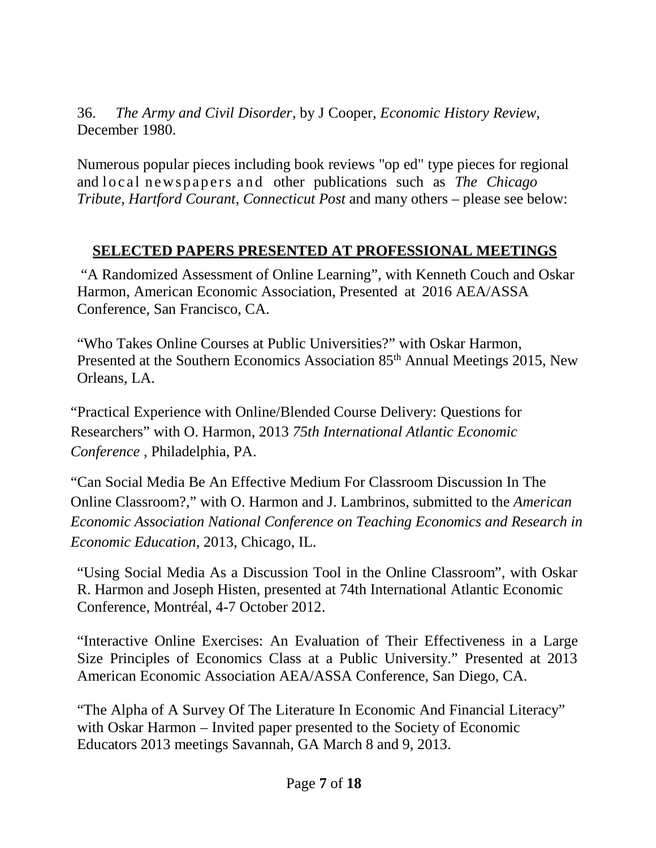36. *The Army and Civil Disorder*, by J Cooper, *Economic History Review*, December 1980.

Numerous popular pieces including book reviews "op ed" type pieces for regional and local newspapers and other publications such as *The Chicago Tribute, Hartford Courant, Connecticut Post* and many others – please see below:

#### **SELECTED PAPERS PRESENTED AT PROFESSIONAL MEETINGS**

 "A Randomized Assessment of Online Learning", with Kenneth Couch and Oskar Harmon, American Economic Association, Presented at 2016 AEA/ASSA Conference, San Francisco, CA.

"Who Takes Online Courses at Public Universities?" with Oskar Harmon, Presented at the Southern Economics Association 85<sup>th</sup> Annual Meetings 2015, New Orleans, LA.

"Practical Experience with Online/Blended Course Delivery: Questions for Researchers" with O. Harmon, 2013 *75th International Atlantic Economic Conference* , Philadelphia, PA.

"Can Social Media Be An Effective Medium For Classroom Discussion In The Online Classroom?," with O. Harmon and J. Lambrinos, submitted to the *American Economic Association National Conference on Teaching Economics and Research in Economic Education*, 2013, Chicago, IL.

"Using Social Media As a Discussion Tool in the Online Classroom", with Oskar R. Harmon and Joseph Histen, presented at 74th International Atlantic Economic Conference, Montréal, 4-7 October 2012.

"Interactive Online Exercises: An Evaluation of Their Effectiveness in a Large Size Principles of Economics Class at a Public University." Presented at 2013 American Economic Association AEA/ASSA Conference, San Diego, CA.

"The Alpha of A Survey Of The Literature In Economic And Financial Literacy" with Oskar Harmon – Invited paper presented to the Society of Economic Educators 2013 meetings Savannah, GA March 8 and 9, 2013.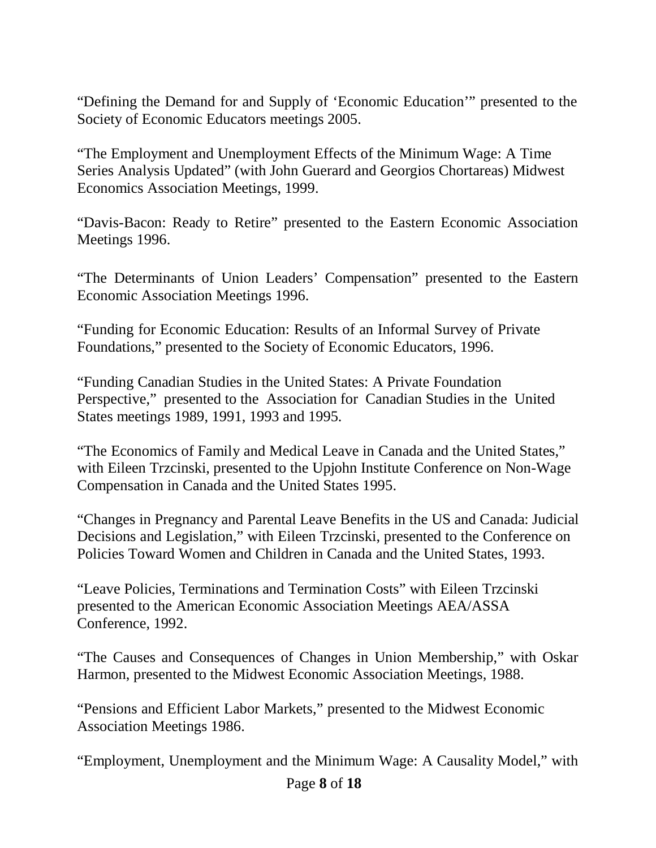"Defining the Demand for and Supply of 'Economic Education'" presented to the Society of Economic Educators meetings 2005.

"The Employment and Unemployment Effects of the Minimum Wage: A Time Series Analysis Updated" (with John Guerard and Georgios Chortareas) Midwest Economics Association Meetings, 1999.

"Davis-Bacon: Ready to Retire" presented to the Eastern Economic Association Meetings 1996.

"The Determinants of Union Leaders' Compensation" presented to the Eastern Economic Association Meetings 1996.

"Funding for Economic Education: Results of an Informal Survey of Private Foundations," presented to the Society of Economic Educators, 1996.

"Funding Canadian Studies in the United States: A Private Foundation Perspective," presented to the Association for Canadian Studies in the United States meetings 1989, 1991, 1993 and 1995.

"The Economics of Family and Medical Leave in Canada and the United States," with Eileen Trzcinski, presented to the Upjohn Institute Conference on Non-Wage Compensation in Canada and the United States 1995.

"Changes in Pregnancy and Parental Leave Benefits in the US and Canada: Judicial Decisions and Legislation," with Eileen Trzcinski, presented to the Conference on Policies Toward Women and Children in Canada and the United States, 1993.

"Leave Policies, Terminations and Termination Costs" with Eileen Trzcinski presented to the American Economic Association Meetings AEA/ASSA Conference, 1992.

"The Causes and Consequences of Changes in Union Membership," with Oskar Harmon, presented to the Midwest Economic Association Meetings, 1988.

"Pensions and Efficient Labor Markets," presented to the Midwest Economic Association Meetings 1986.

"Employment, Unemployment and the Minimum Wage: A Causality Model," with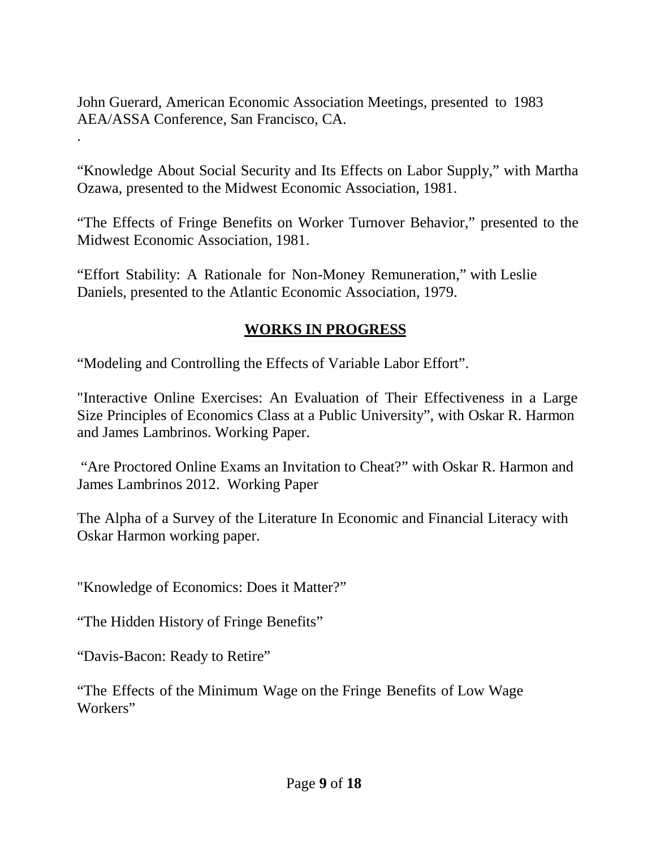John Guerard, American Economic Association Meetings, presented to 1983 AEA/ASSA Conference, San Francisco, CA.

"Knowledge About Social Security and Its Effects on Labor Supply," with Martha Ozawa, presented to the Midwest Economic Association, 1981.

"The Effects of Fringe Benefits on Worker Turnover Behavior," presented to the Midwest Economic Association, 1981.

"Effort Stability: A Rationale for Non-Money Remuneration," with Leslie Daniels, presented to the Atlantic Economic Association, 1979.

#### **WORKS IN PROGRESS**

"Modeling and Controlling the Effects of Variable Labor Effort".

"Interactive Online Exercises: An Evaluation of Their Effectiveness in a Large Size Principles of Economics Class at a Public University", with Oskar R. Harmon and James Lambrinos. Working Paper.

"Are Proctored Online Exams an Invitation to Cheat?" with Oskar R. Harmon and James Lambrinos 2012. Working Paper

The Alpha of a Survey of the Literature In Economic and Financial Literacy with Oskar Harmon working paper.

"Knowledge of Economics: Does it Matter?"

"The Hidden History of Fringe Benefits"

"Davis-Bacon: Ready to Retire"

.

"The Effects of the Minimum Wage on the Fringe Benefits of Low Wage Workers"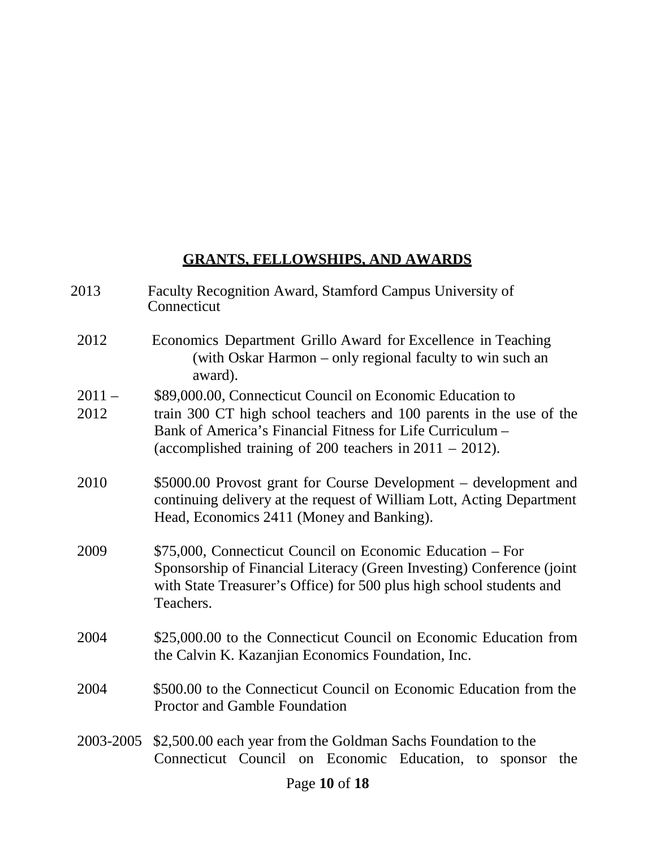#### **GRANTS, FELLOWSHIPS, AND AWARDS**

- 2013 Faculty Recognition Award, Stamford Campus University of **Connecticut**
- 2012 Economics Department Grillo Award for Excellence in Teaching (with Oskar Harmon – only regional faculty to win such an award).
- 2011 \$89,000.00, Connecticut Council on Economic Education to
- 2012 train 300 CT high school teachers and 100 parents in the use of the Bank of America's Financial Fitness for Life Curriculum – (accomplished training of 200 teachers in 2011 – 2012).
- 2010 \$5000.00 Provost grant for Course Development development and continuing delivery at the request of William Lott, Acting Department Head, Economics 2411 (Money and Banking).
- 2009 \$75,000, Connecticut Council on Economic Education For Sponsorship of Financial Literacy (Green Investing) Conference (joint with State Treasurer's Office) for 500 plus high school students and Teachers.
- 2004 \$25,000.00 to the Connecticut Council on Economic Education from the Calvin K. Kazanjian Economics Foundation, Inc.
- 2004 \$500.00 to the Connecticut Council on Economic Education from the Proctor and Gamble Foundation
- 2003-2005 \$2,500.00 each year from the Goldman Sachs Foundation to the Connecticut Council on Economic Education, to sponsor the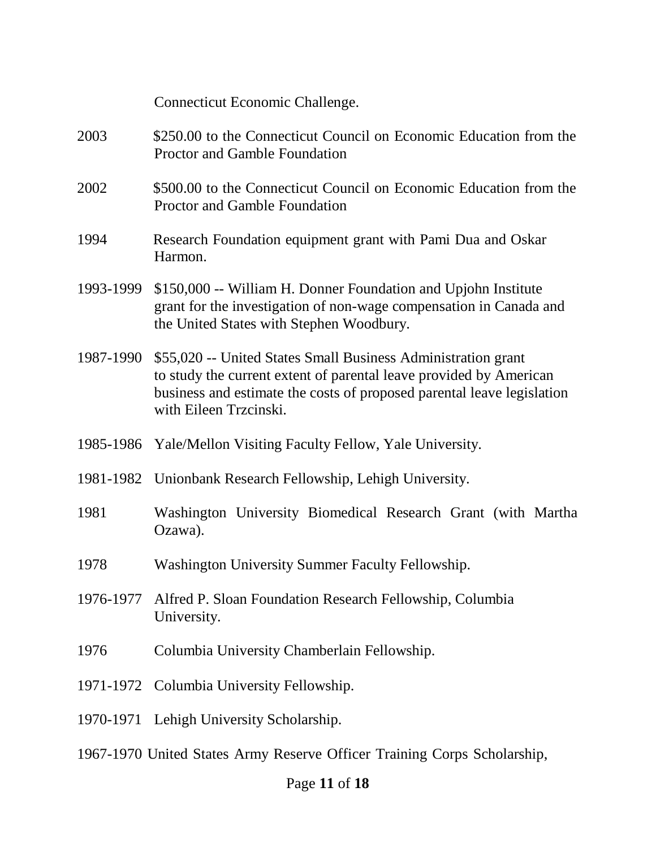|           | Connecticut Economic Challenge.                                                                                                                                                                                                         |
|-----------|-----------------------------------------------------------------------------------------------------------------------------------------------------------------------------------------------------------------------------------------|
| 2003      | \$250.00 to the Connecticut Council on Economic Education from the<br>Proctor and Gamble Foundation                                                                                                                                     |
| 2002      | \$500.00 to the Connecticut Council on Economic Education from the<br>Proctor and Gamble Foundation                                                                                                                                     |
| 1994      | Research Foundation equipment grant with Pami Dua and Oskar<br>Harmon.                                                                                                                                                                  |
| 1993-1999 | \$150,000 -- William H. Donner Foundation and Upjohn Institute<br>grant for the investigation of non-wage compensation in Canada and<br>the United States with Stephen Woodbury.                                                        |
| 1987-1990 | \$55,020 -- United States Small Business Administration grant<br>to study the current extent of parental leave provided by American<br>business and estimate the costs of proposed parental leave legislation<br>with Eileen Trzcinski. |
|           | 1985-1986 Yale/Mellon Visiting Faculty Fellow, Yale University.                                                                                                                                                                         |
|           | 1981-1982 Unionbank Research Fellowship, Lehigh University.                                                                                                                                                                             |
| 1981      | Washington University Biomedical Research Grant (with Martha<br>Ozawa).                                                                                                                                                                 |
| 1978      | Washington University Summer Faculty Fellowship.                                                                                                                                                                                        |
| 1976-1977 | Alfred P. Sloan Foundation Research Fellowship, Columbia<br>University.                                                                                                                                                                 |
| 1976      | Columbia University Chamberlain Fellowship.                                                                                                                                                                                             |
|           | 1971-1972 Columbia University Fellowship.                                                                                                                                                                                               |
|           | 1970-1971 Lehigh University Scholarship.                                                                                                                                                                                                |
|           | 1967-1970 United States Army Reserve Officer Training Corps Scholarship,                                                                                                                                                                |

# Page **11** of **18**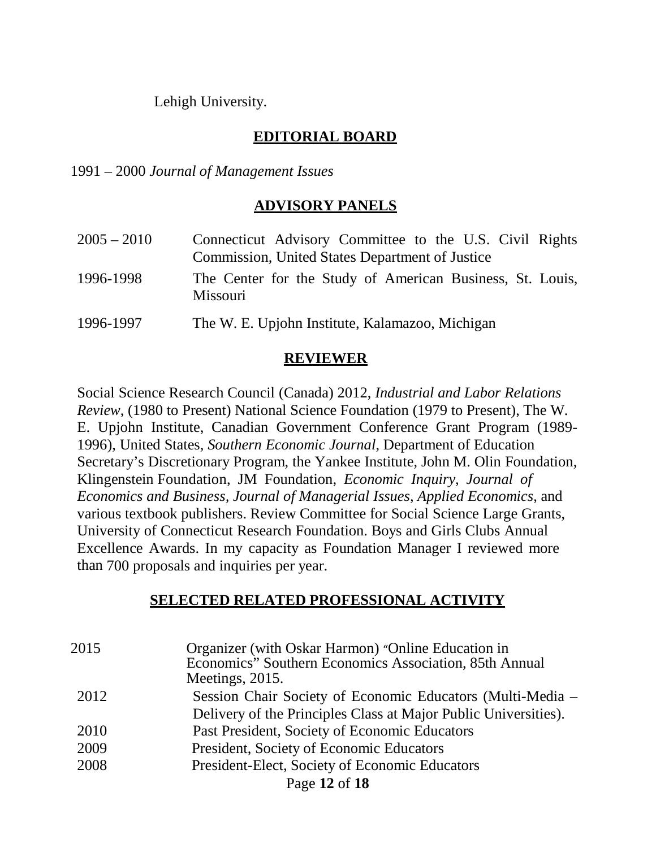Lehigh University.

### **EDITORIAL BOARD**

1991 – 2000 *Journal of Management Issues*

#### **ADVISORY PANELS**

| $2005 - 2010$ | Connecticut Advisory Committee to the U.S. Civil Rights<br>Commission, United States Department of Justice |
|---------------|------------------------------------------------------------------------------------------------------------|
| 1996-1998     | The Center for the Study of American Business, St. Louis,<br>Missouri                                      |
| 1996-1997     | The W. E. Upjohn Institute, Kalamazoo, Michigan                                                            |

#### **REVIEWER**

Social Science Research Council (Canada) 2012, *Industrial and Labor Relations Review*, (1980 to Present) National Science Foundation (1979 to Present), The W. E. Upjohn Institute, Canadian Government Conference Grant Program (1989- 1996), United States, *Southern Economic Journal*, Department of Education Secretary's Discretionary Program, the Yankee Institute, John M. Olin Foundation, Klingenstein Foundation, JM Foundation, *Economic Inquiry, Journal of Economics and Business, Journal of Managerial Issues, Applied Economics*, and various textbook publishers. Review Committee for Social Science Large Grants, University of Connecticut Research Foundation. Boys and Girls Clubs Annual Excellence Awards. In my capacity as Foundation Manager I reviewed more than 700 proposals and inquiries per year.

#### **SELECTED RELATED PROFESSIONAL ACTIVITY**

| 2015 | Organizer (with Oskar Harmon) "Online Education in<br>Economics" Southern Economics Association, 85th Annual<br>Meetings, 2015. |
|------|---------------------------------------------------------------------------------------------------------------------------------|
| 2012 | Session Chair Society of Economic Educators (Multi-Media –<br>Delivery of the Principles Class at Major Public Universities).   |
| 2010 | Past President, Society of Economic Educators                                                                                   |
| 2009 | President, Society of Economic Educators                                                                                        |
| 2008 | President-Elect, Society of Economic Educators                                                                                  |
|      | Page 12 of 18                                                                                                                   |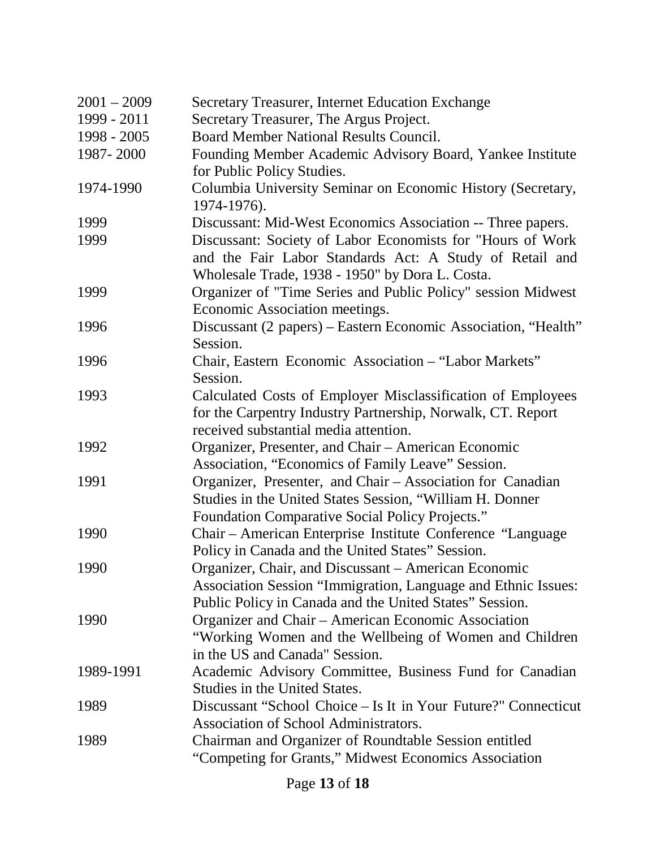| $2001 - 2009$ | Secretary Treasurer, Internet Education Exchange                                                                                                                                 |
|---------------|----------------------------------------------------------------------------------------------------------------------------------------------------------------------------------|
| 1999 - 2011   | Secretary Treasurer, The Argus Project.                                                                                                                                          |
| 1998 - 2005   | <b>Board Member National Results Council.</b>                                                                                                                                    |
| 1987-2000     | Founding Member Academic Advisory Board, Yankee Institute<br>for Public Policy Studies.                                                                                          |
| 1974-1990     | Columbia University Seminar on Economic History (Secretary,<br>1974-1976).                                                                                                       |
| 1999          | Discussant: Mid-West Economics Association -- Three papers.                                                                                                                      |
| 1999          | Discussant: Society of Labor Economists for "Hours of Work"<br>and the Fair Labor Standards Act: A Study of Retail and<br>Wholesale Trade, 1938 - 1950" by Dora L. Costa.        |
| 1999          | Organizer of "Time Series and Public Policy" session Midwest<br>Economic Association meetings.                                                                                   |
| 1996          | Discussant (2 papers) – Eastern Economic Association, "Health"<br>Session.                                                                                                       |
| 1996          | Chair, Eastern Economic Association - "Labor Markets"<br>Session.                                                                                                                |
| 1993          | Calculated Costs of Employer Misclassification of Employees<br>for the Carpentry Industry Partnership, Norwalk, CT. Report<br>received substantial media attention.              |
| 1992          | Organizer, Presenter, and Chair – American Economic<br>Association, "Economics of Family Leave" Session.                                                                         |
| 1991          | Organizer, Presenter, and Chair – Association for Canadian<br>Studies in the United States Session, "William H. Donner<br><b>Foundation Comparative Social Policy Projects."</b> |
| 1990          | Chair - American Enterprise Institute Conference "Language<br>Policy in Canada and the United States" Session.                                                                   |
| 1990          | Organizer, Chair, and Discussant - American Economic<br>Association Session "Immigration, Language and Ethnic Issues:<br>Public Policy in Canada and the United States" Session. |
| 1990          | Organizer and Chair – American Economic Association<br>"Working Women and the Wellbeing of Women and Children<br>in the US and Canada" Session.                                  |
| 1989-1991     | Academic Advisory Committee, Business Fund for Canadian<br>Studies in the United States.                                                                                         |
| 1989          | Discussant "School Choice – Is It in Your Future?" Connecticut<br>Association of School Administrators.                                                                          |
| 1989          | Chairman and Organizer of Roundtable Session entitled<br>"Competing for Grants," Midwest Economics Association                                                                   |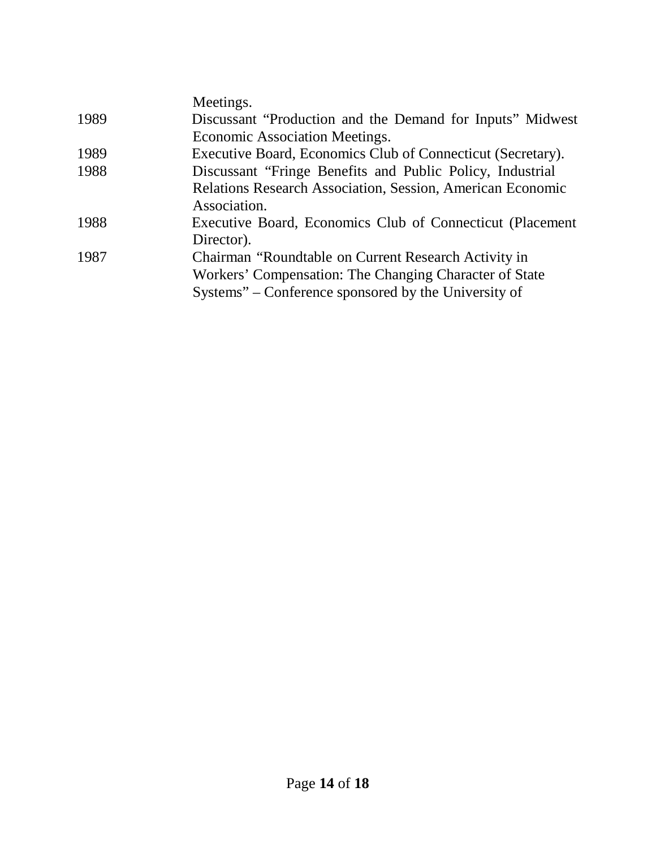|      | Meetings.                                                                                                                                                              |
|------|------------------------------------------------------------------------------------------------------------------------------------------------------------------------|
| 1989 | Discussant "Production and the Demand for Inputs" Midwest                                                                                                              |
|      | Economic Association Meetings.                                                                                                                                         |
| 1989 | Executive Board, Economics Club of Connecticut (Secretary).                                                                                                            |
| 1988 | Discussant "Fringe Benefits and Public Policy, Industrial                                                                                                              |
|      | <b>Relations Research Association, Session, American Economic</b><br>Association.                                                                                      |
| 1988 | Executive Board, Economics Club of Connecticut (Placement)<br>Director).                                                                                               |
| 1987 | Chairman "Roundtable on Current Research Activity in<br>Workers' Compensation: The Changing Character of State<br>Systems" – Conference sponsored by the University of |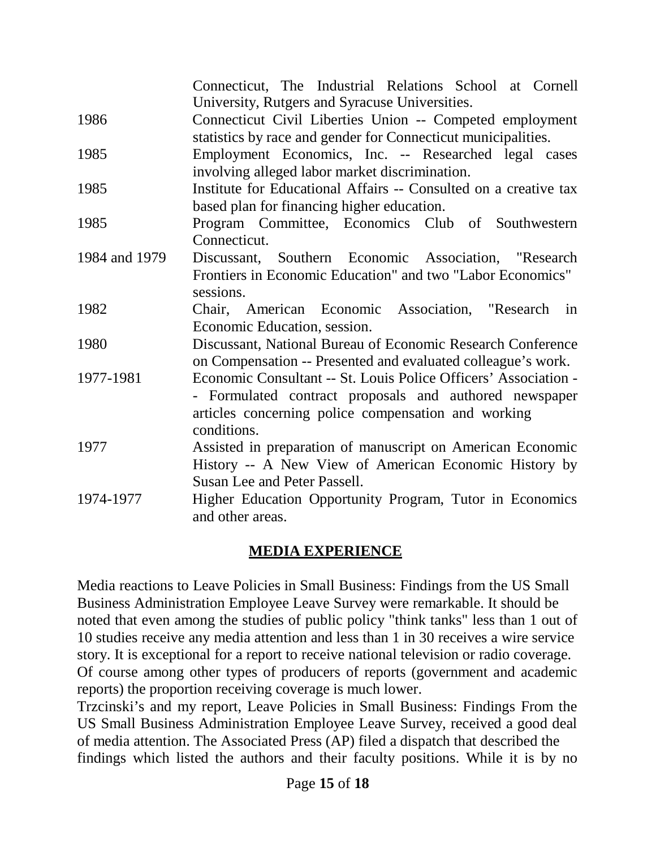|               | Connecticut, The Industrial Relations School at Cornell<br>University, Rutgers and Syracuse Universities. |
|---------------|-----------------------------------------------------------------------------------------------------------|
| 1986          | Connecticut Civil Liberties Union -- Competed employment                                                  |
|               | statistics by race and gender for Connecticut municipalities.                                             |
| 1985          | Employment Economics, Inc. -- Researched legal cases                                                      |
|               | involving alleged labor market discrimination.                                                            |
| 1985          | Institute for Educational Affairs -- Consulted on a creative tax                                          |
|               | based plan for financing higher education.                                                                |
| 1985          | Program Committee, Economics Club of Southwestern                                                         |
|               | Connecticut.                                                                                              |
| 1984 and 1979 | Discussant, Southern Economic Association, "Research"                                                     |
|               | Frontiers in Economic Education" and two "Labor Economics"                                                |
|               | sessions.                                                                                                 |
| 1982          | Chair, American Economic Association, "Research in                                                        |
|               | Economic Education, session.                                                                              |
| 1980          | Discussant, National Bureau of Economic Research Conference                                               |
|               | on Compensation -- Presented and evaluated colleague's work.                                              |
| 1977-1981     | Economic Consultant -- St. Louis Police Officers' Association -                                           |
|               | - Formulated contract proposals and authored newspaper                                                    |
|               | articles concerning police compensation and working                                                       |
|               | conditions.                                                                                               |
| 1977          | Assisted in preparation of manuscript on American Economic                                                |
|               | History -- A New View of American Economic History by                                                     |
|               | Susan Lee and Peter Passell.                                                                              |
| 1974-1977     | Higher Education Opportunity Program, Tutor in Economics                                                  |
|               | and other areas.                                                                                          |

#### **MEDIA EXPERIENCE**

Media reactions to Leave Policies in Small Business: Findings from the US Small Business Administration Employee Leave Survey were remarkable. It should be noted that even among the studies of public policy "think tanks" less than 1 out of 10 studies receive any media attention and less than 1 in 30 receives a wire service story. It is exceptional for a report to receive national television or radio coverage. Of course among other types of producers of reports (government and academic reports) the proportion receiving coverage is much lower.

Trzcinski's and my report, Leave Policies in Small Business: Findings From the US Small Business Administration Employee Leave Survey, received a good deal of media attention. The Associated Press (AP) filed a dispatch that described the findings which listed the authors and their faculty positions. While it is by no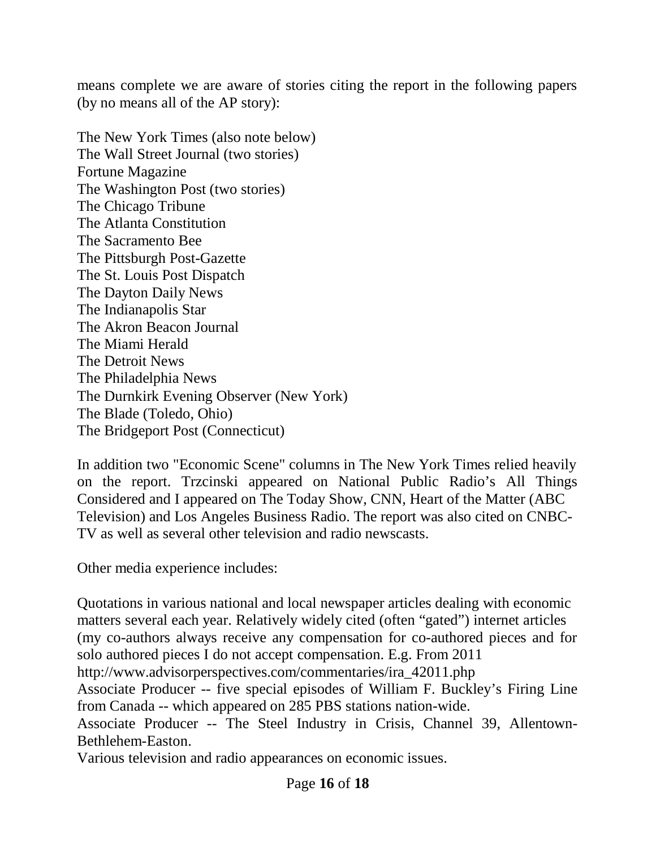means complete we are aware of stories citing the report in the following papers (by no means all of the AP story):

The New York Times (also note below) The Wall Street Journal (two stories) Fortune Magazine The Washington Post (two stories) The Chicago Tribune The Atlanta Constitution The Sacramento Bee The Pittsburgh Post-Gazette The St. Louis Post Dispatch The Dayton Daily News The Indianapolis Star The Akron Beacon Journal The Miami Herald The Detroit News The Philadelphia News The Durnkirk Evening Observer (New York) The Blade (Toledo, Ohio) The Bridgeport Post (Connecticut)

In addition two "Economic Scene" columns in The New York Times relied heavily on the report. Trzcinski appeared on National Public Radio's All Things Considered and I appeared on The Today Show, CNN, Heart of the Matter (ABC Television) and Los Angeles Business Radio. The report was also cited on CNBC-TV as well as several other television and radio newscasts.

Other media experience includes:

Quotations in various national and local newspaper articles dealing with economic matters several each year. Relatively widely cited (often "gated") internet articles (my co-authors always receive any compensation for co-authored pieces and for solo authored pieces I do not accept compensation. E.g. From 2011

http://www.advisorperspectives.com/commentaries/ira\_42011.php

Associate Producer -- five special episodes of William F. Buckley's Firing Line from Canada -- which appeared on 285 PBS stations nation-wide.

Associate Producer -- The Steel Industry in Crisis, Channel 39, Allentown-Bethlehem-Easton.

Various television and radio appearances on economic issues.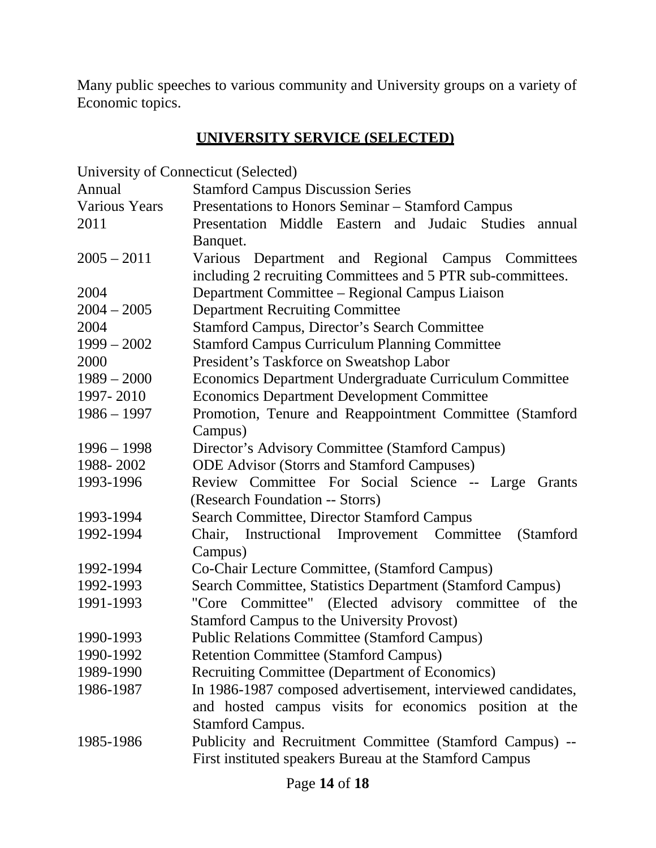Many public speeches to various community and University groups on a variety of Economic topics.

## **UNIVERSITY SERVICE (SELECTED)**

University of Connecticut (Selected)

| Annual               | <b>Stamford Campus Discussion Series</b>                     |
|----------------------|--------------------------------------------------------------|
| <b>Various Years</b> | Presentations to Honors Seminar - Stamford Campus            |
| 2011                 | Presentation Middle Eastern and Judaic<br>Studies<br>annual  |
|                      | Banquet.                                                     |
| $2005 - 2011$        | Various Department and Regional Campus Committees            |
|                      | including 2 recruiting Committees and 5 PTR sub-committees.  |
| 2004                 | Department Committee - Regional Campus Liaison               |
| $2004 - 2005$        | <b>Department Recruiting Committee</b>                       |
| 2004                 | <b>Stamford Campus, Director's Search Committee</b>          |
| $1999 - 2002$        | <b>Stamford Campus Curriculum Planning Committee</b>         |
| 2000                 | President's Taskforce on Sweatshop Labor                     |
| $1989 - 2000$        | Economics Department Undergraduate Curriculum Committee      |
| 1997-2010            | <b>Economics Department Development Committee</b>            |
| $1986 - 1997$        | Promotion, Tenure and Reappointment Committee (Stamford      |
|                      | Campus)                                                      |
| $1996 - 1998$        | Director's Advisory Committee (Stamford Campus)              |
| 1988-2002            | <b>ODE Advisor (Storrs and Stamford Campuses)</b>            |
| 1993-1996            | Review Committee For Social Science -- Large Grants          |
|                      | (Research Foundation -- Storrs)                              |
| 1993-1994            | <b>Search Committee, Director Stamford Campus</b>            |
| 1992-1994            | Chair, Instructional Improvement Committee<br>(Stamford)     |
|                      | Campus)                                                      |
| 1992-1994            | Co-Chair Lecture Committee, (Stamford Campus)                |
| 1992-1993            | Search Committee, Statistics Department (Stamford Campus)    |
| 1991-1993            | "Core Committee" (Elected advisory committee of the          |
|                      | <b>Stamford Campus to the University Provost)</b>            |
| 1990-1993            | <b>Public Relations Committee (Stamford Campus)</b>          |
| 1990-1992            | <b>Retention Committee (Stamford Campus)</b>                 |
| 1989-1990            | Recruiting Committee (Department of Economics)               |
| 1986-1987            | In 1986-1987 composed advertisement, interviewed candidates, |
|                      | and hosted campus visits for economics position at the       |
|                      | <b>Stamford Campus.</b>                                      |
| 1985-1986            | Publicity and Recruitment Committee (Stamford Campus) --     |
|                      | First instituted speakers Bureau at the Stamford Campus      |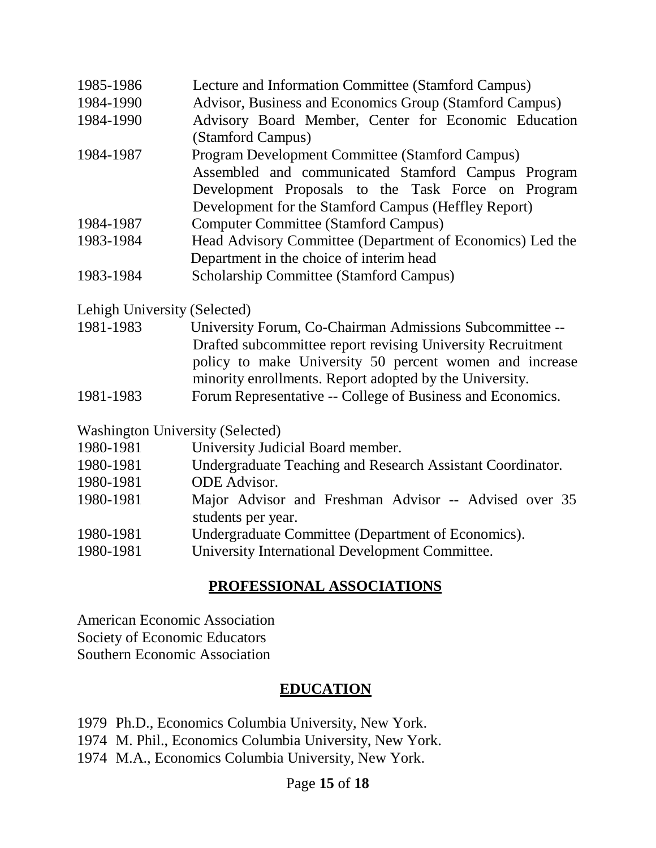| 1985-1986 | Lecture and Information Committee (Stamford Campus)       |
|-----------|-----------------------------------------------------------|
| 1984-1990 | Advisor, Business and Economics Group (Stamford Campus)   |
| 1984-1990 | Advisory Board Member, Center for Economic Education      |
|           | (Stamford Campus)                                         |
| 1984-1987 | Program Development Committee (Stamford Campus)           |
|           | Assembled and communicated Stamford Campus Program        |
|           | Development Proposals to the Task Force on Program        |
|           | Development for the Stamford Campus (Heffley Report)      |
| 1984-1987 | <b>Computer Committee (Stamford Campus)</b>               |
| 1983-1984 | Head Advisory Committee (Department of Economics) Led the |
|           | Department in the choice of interim head                  |
| 1983-1984 | <b>Scholarship Committee (Stamford Campus)</b>            |

Lehigh University (Selected)

| 1981-1983 | University Forum, Co-Chairman Admissions Subcommittee --    |
|-----------|-------------------------------------------------------------|
|           | Drafted subcommittee report revising University Recruitment |
|           | policy to make University 50 percent women and increase     |
|           | minority enrollments. Report adopted by the University.     |
| 1981-1983 | Forum Representative -- College of Business and Economics.  |

Washington University (Selected)

| 1980-1981 | University Judicial Board member.                          |
|-----------|------------------------------------------------------------|
| 1980-1981 | Undergraduate Teaching and Research Assistant Coordinator. |
| 1980-1981 | <b>ODE</b> Advisor.                                        |
| 1980-1981 | Major Advisor and Freshman Advisor -- Advised over 35      |
|           | students per year.                                         |
| 1980-1981 | Undergraduate Committee (Department of Economics).         |
| 1980-1981 | University International Development Committee.            |

## **PROFESSIONAL ASSOCIATIONS**

American Economic Association Society of Economic Educators Southern Economic Association

#### **EDUCATION**

- 1979 Ph.D., Economics Columbia University, New York.
- 1974 M. Phil., Economics Columbia University, New York.
- 1974 M.A., Economics Columbia University, New York.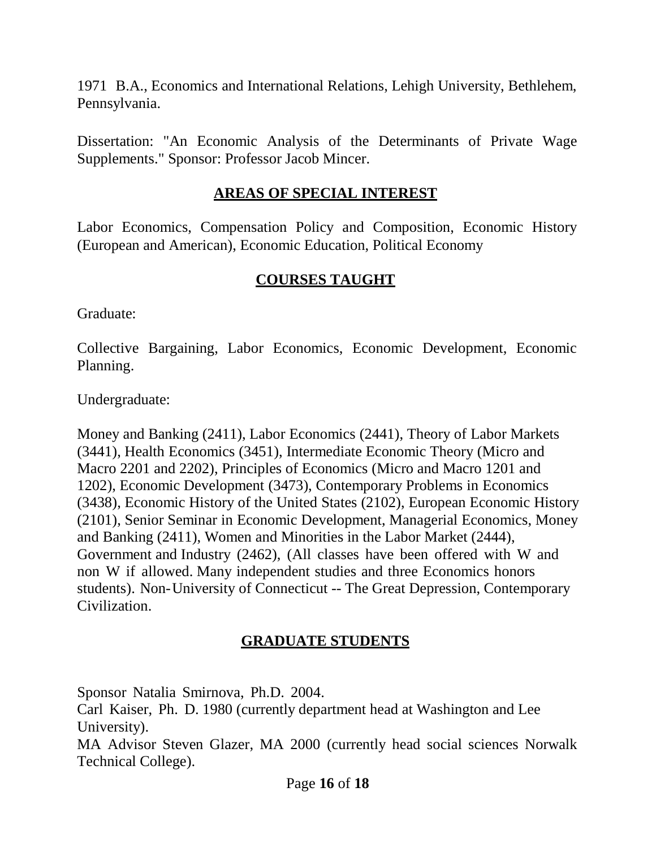1971 B.A., Economics and International Relations, Lehigh University, Bethlehem, Pennsylvania.

Dissertation: "An Economic Analysis of the Determinants of Private Wage Supplements." Sponsor: Professor Jacob Mincer.

#### **AREAS OF SPECIAL INTEREST**

Labor Economics, Compensation Policy and Composition, Economic History (European and American), Economic Education, Political Economy

#### **COURSES TAUGHT**

Graduate:

Collective Bargaining, Labor Economics, Economic Development, Economic Planning.

Undergraduate:

Money and Banking (2411), Labor Economics (2441), Theory of Labor Markets (3441), Health Economics (3451), Intermediate Economic Theory (Micro and Macro 2201 and 2202), Principles of Economics (Micro and Macro 1201 and 1202), Economic Development (3473), Contemporary Problems in Economics (3438), Economic History of the United States (2102), European Economic History (2101), Senior Seminar in Economic Development, Managerial Economics, Money and Banking (2411), Women and Minorities in the Labor Market (2444), Government and Industry (2462), (All classes have been offered with W and non W if allowed. Many independent studies and three Economics honors students). Non-University of Connecticut -- The Great Depression, Contemporary Civilization.

## **GRADUATE STUDENTS**

Sponsor Natalia Smirnova, Ph.D. 2004.

Carl Kaiser, Ph. D. 1980 (currently department head at Washington and Lee University).

MA Advisor Steven Glazer, MA 2000 (currently head social sciences Norwalk Technical College).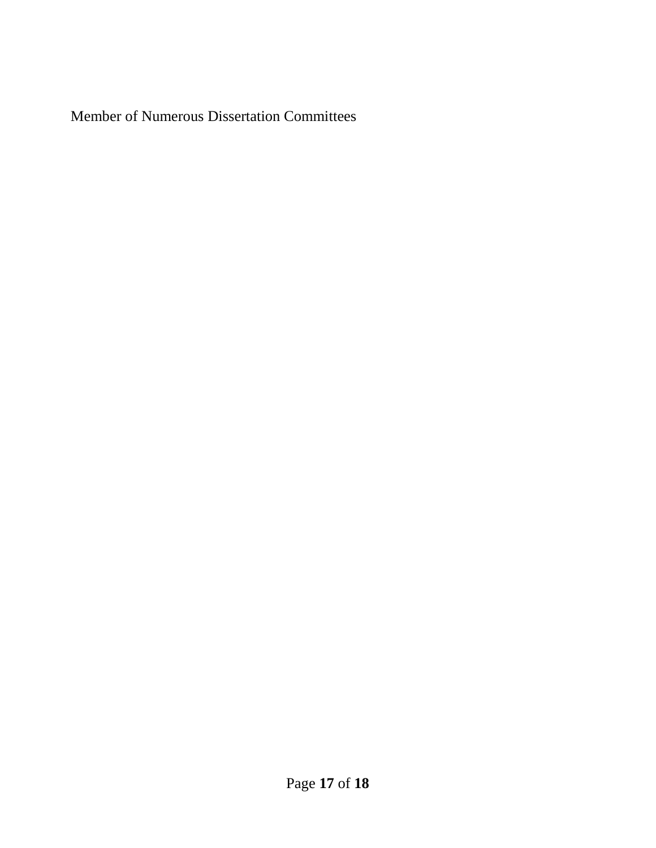Member of Numerous Dissertation Committees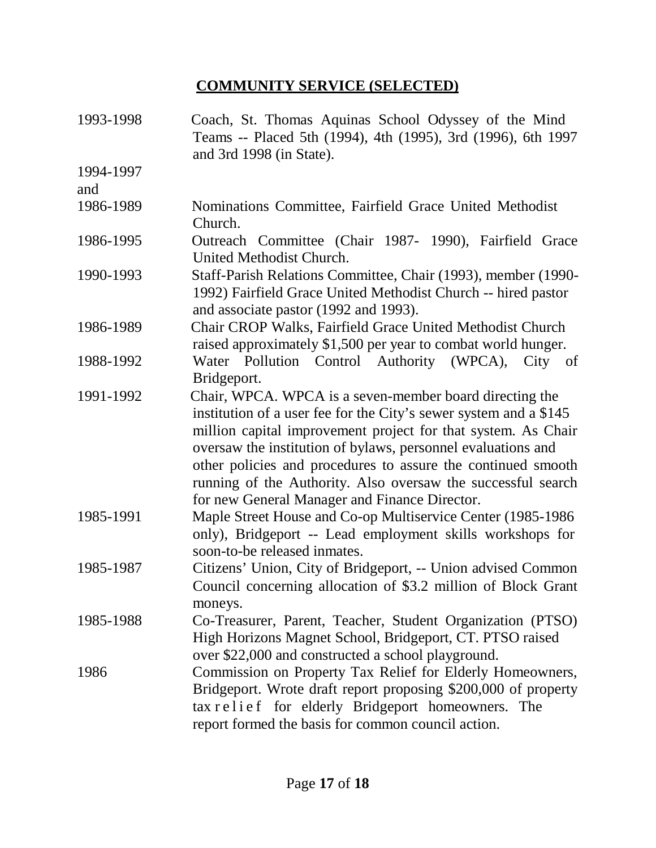## **COMMUNITY SERVICE (SELECTED)**

| 1993-1998        | Coach, St. Thomas Aquinas School Odyssey of the Mind<br>Teams -- Placed 5th (1994), 4th (1995), 3rd (1996), 6th 1997<br>and 3rd 1998 (in State).                                                                                                                                                                                                                                                                                               |
|------------------|------------------------------------------------------------------------------------------------------------------------------------------------------------------------------------------------------------------------------------------------------------------------------------------------------------------------------------------------------------------------------------------------------------------------------------------------|
| 1994-1997<br>and |                                                                                                                                                                                                                                                                                                                                                                                                                                                |
| 1986-1989        | Nominations Committee, Fairfield Grace United Methodist<br>Church.                                                                                                                                                                                                                                                                                                                                                                             |
| 1986-1995        | Outreach Committee (Chair 1987- 1990), Fairfield Grace<br>United Methodist Church.                                                                                                                                                                                                                                                                                                                                                             |
| 1990-1993        | Staff-Parish Relations Committee, Chair (1993), member (1990-<br>1992) Fairfield Grace United Methodist Church -- hired pastor<br>and associate pastor (1992 and 1993).                                                                                                                                                                                                                                                                        |
| 1986-1989        | Chair CROP Walks, Fairfield Grace United Methodist Church<br>raised approximately \$1,500 per year to combat world hunger.                                                                                                                                                                                                                                                                                                                     |
| 1988-1992        | Water Pollution Control Authority (WPCA),<br>City of<br>Bridgeport.                                                                                                                                                                                                                                                                                                                                                                            |
| 1991-1992        | Chair, WPCA. WPCA is a seven-member board directing the<br>institution of a user fee for the City's sewer system and a \$145<br>million capital improvement project for that system. As Chair<br>oversaw the institution of bylaws, personnel evaluations and<br>other policies and procedures to assure the continued smooth<br>running of the Authority. Also oversaw the successful search<br>for new General Manager and Finance Director. |
| 1985-1991        | Maple Street House and Co-op Multiservice Center (1985-1986)<br>only), Bridgeport -- Lead employment skills workshops for<br>soon-to-be released inmates.                                                                                                                                                                                                                                                                                      |
| 1985-1987        | Citizens' Union, City of Bridgeport, -- Union advised Common<br>Council concerning allocation of \$3.2 million of Block Grant<br>moneys.                                                                                                                                                                                                                                                                                                       |
| 1985-1988        | Co-Treasurer, Parent, Teacher, Student Organization (PTSO)<br>High Horizons Magnet School, Bridgeport, CT. PTSO raised<br>over \$22,000 and constructed a school playground.                                                                                                                                                                                                                                                                   |
| 1986             | Commission on Property Tax Relief for Elderly Homeowners,<br>Bridgeport. Wrote draft report proposing \$200,000 of property<br>tax relief for elderly Bridgeport homeowners. The<br>report formed the basis for common council action.                                                                                                                                                                                                         |